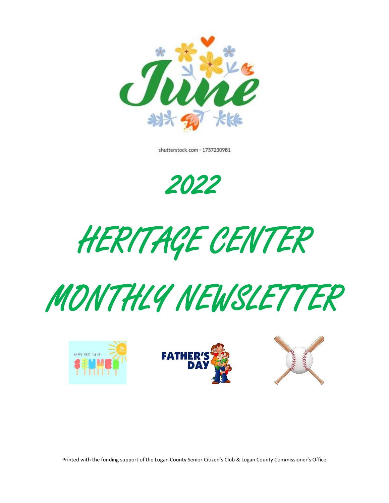

shutterstock.com · 1737230981

2022

HERITAGE CENTER





Printed with the funding support of the Logan County Senior Citizen's Club & Logan County Commissioner's Office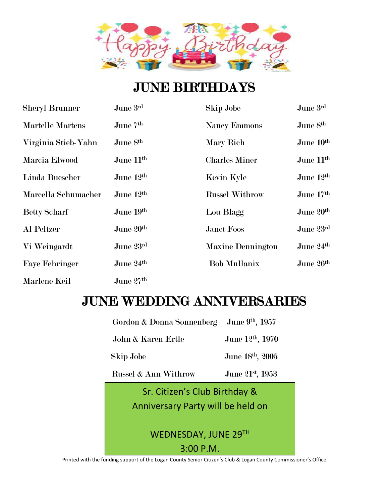

# JUNE BIRTHDAYS

| <b>Sheryl Brunner</b> | June $3^{\rm rd}$     | <b>Skip Jobe</b>         | June 3rd              |
|-----------------------|-----------------------|--------------------------|-----------------------|
| Martelle Martens      | June 7th              | <b>Nancy Emmons</b>      | June 8 <sup>th</sup>  |
| Virginia Stieb-Yahn   | June 8th              | Mary Rich                | June 10 <sup>th</sup> |
| Marcia Elwood         | June $11^{\rm th}$    | <b>Charles Miner</b>     | June 11 <sup>th</sup> |
| Linda Buescher        | June $12^{\text{th}}$ | Kevin Kyle               | June 12th             |
| Marcella Schumacher   | June 12 <sup>th</sup> | <b>Russel Withrow</b>    | June $17th$           |
| <b>Betty Scharf</b>   | June 19th             | Lou Blagg                | June 20th             |
| Al Peltzer            | June 20th             | <b>Janet Foos</b>        | June 23rd             |
| Vi Weingardt          | June 23rd             | <b>Maxine Dennington</b> | June 24th             |
| <b>Faye Fehringer</b> | June 24th             | <b>Bob Mullanix</b>      | June 26th             |
| Marlene Keil          | June $27th$           |                          |                       |

# JUNE WEDDING ANNIVERSARIES

| Gordon & Donna Sonnenberg June 9th, 1957 |                              |  |  |  |
|------------------------------------------|------------------------------|--|--|--|
| John & Karen Ertle                       | June 12 <sup>th</sup> , 1970 |  |  |  |
| Skip Jobe                                | June 18th, 2005              |  |  |  |
| Russel & Ann Withrow                     | June 21st, 1953              |  |  |  |
| Sr. Citizen's Club Birthday &            |                              |  |  |  |
| Anniversary Party will be held on        |                              |  |  |  |
|                                          |                              |  |  |  |
| WEDNESDAY, JUNE 29TH                     |                              |  |  |  |
| 3:00 P.M.                                |                              |  |  |  |

Printed with the funding support of the Logan County Senior Citizen's Club & Logan County Commissioner's Office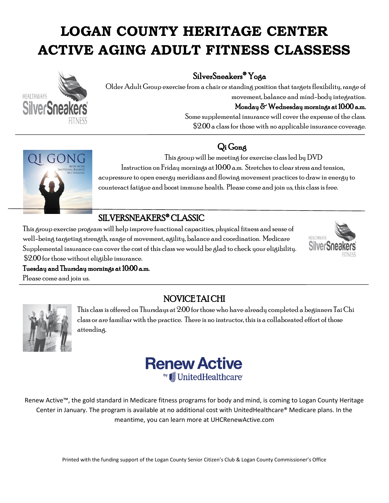# **LOGAN COUNTY HERITAGE CENTER ACTIVE AGING ADULT FITNESS CLASSESS**



#### SilverSneakers® Yoga

Older Adult Group exercise from a chair or standing position that targets flexibility, range of movement, balance and mind-body integration. Monday & Wednesday mornings at 10:00 a.m. Some supplemental insurance will cover the expense of the class. \$2.00 a class for those with no applicable insurance coverage.

#### Qi Gong



This group will be meeting for exercise class led by DVD Instruction on Friday mornings at 10:00 a.m. Stretches to clear stress and tension, acupressure to open energy meridians and flowing movement practices to draw in energy to counteract fatigue and boost immune health. Please come and join us, this class is free.

#### SILVERSNEAKERS® CLASSIC

This group exercise program will help improve functional capacities, physical fitness and sense of well-being targeting strength, range of movement, agility, balance and coordination. Medicare Supplemental insurance can cover the cost of this class we would be glad to check your eligibility. \$2.00 for those without eligible insurance.



#### Tuesday and Thursday mornings at 10:00 a.m.

Please come and join us.



#### NOVICE TAI CHI

This class is offered on Thursdays at 2:00 for those who have already completed a beginners Tai Chi class or are familiar with the practice. There is no instructor, this is a collaborated effort of those attending.



Renew Active™, the gold standard in Medicare fitness programs for body and mind, is coming to Logan County Heritage Center in January. The program is available at no additional cost with UnitedHealthcare® Medicare plans. In the meantime, you can learn more at UHCRenewActive.com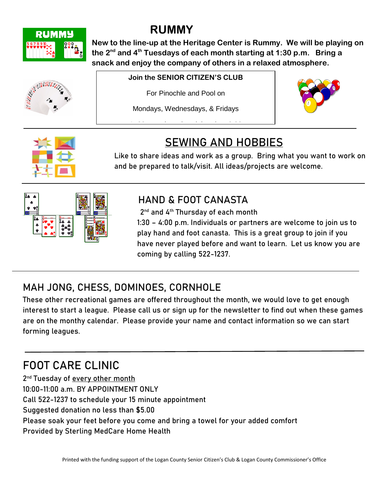

# **RUMMY**

**New to the line-up at the Heritage Center is Rummy. We will be playing on the 2nd and 4th Tuesdays of each month starting at 1:30 p.m. Bring a snack and enjoy the company of others in a relaxed atmosphere.** 



#### **Join the SENIOR CITIZEN'S CLUB**

For Pinochle and Pool on

Mondays, Wednesdays, & Fridays

1: 30 start time, Snack break at 3:00 start time, Snack break at 3:00 start time, Snack break at 3:00 start ti<br>1:000 start time, Snack break at 3:00 start time, Snack break at 3:00 start time, Snack break at 3:00 start ti





## **SEWING AND HOBBIES**

Like to share ideas and work as a group. Bring what you want to work on and be prepared to talk/visit. All ideas/projects are welcome.



### **HAND & FOOT CANASTA**

2 nd and 4th Thursday of each month

1:30 – 4:00 p.m. Individuals or partners are welcome to join us to play hand and foot canasta. This is a great group to join if you have never played before and want to learn. Let us know you are coming by calling 522-1237.

## **MAH JONG, CHESS, DOMINOES, CORNHOLE**

These other recreational games are offered throughout the month, we would love to get enough interest to start a league. Please call us or sign up for the newsletter to find out when these games are on the monthy calendar. Please provide your name and contact information so we can start forming leagues.

# **FOOT CARE CLINIC**

2<sup>nd</sup> Tuesday of every other month 10:00-11:00 a.m. BY APPOINTMENT ONLY Call 522-1237 to schedule your 15 minute appointment Suggested donation no less than \$5.00 Please soak your feet before you come and bring a towel for your added comfort Provided by Sterling MedCare Home Health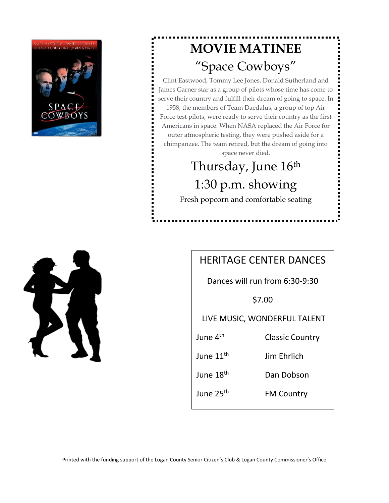

# **MOVIE MATINEE** "Space Cowboys"

Clint Eastwood, Tommy Lee Jones, Donald Sutherland and James Garner star as a group of pilots whose time has come to serve their country and fulfill their dream of going to space. In 1958, the members of Team Daedalus, a group of top Air Force test pilots, were ready to serve their country as the first Americans in space. When NASA replaced the Air Force for outer atmospheric testing, they were pushed aside for a chimpanzee. The team retired, but the dream of going into space never died.

# Thursday, June 16th 1:30 p.m. showing

Fresh popcorn and comfortable seating

#### HERITAGE CENTER DANCES

Dances will run from 6:30-9:30

\$7.00

LIVE MUSIC, WONDERFUL TALENT

June 4<sup>th</sup> **Classic Country** 

June 11<sup>th</sup> Jim Ehrlich

June 18<sup>th</sup> Dan Dobson

June 25<sup>th</sup> **FM Country**